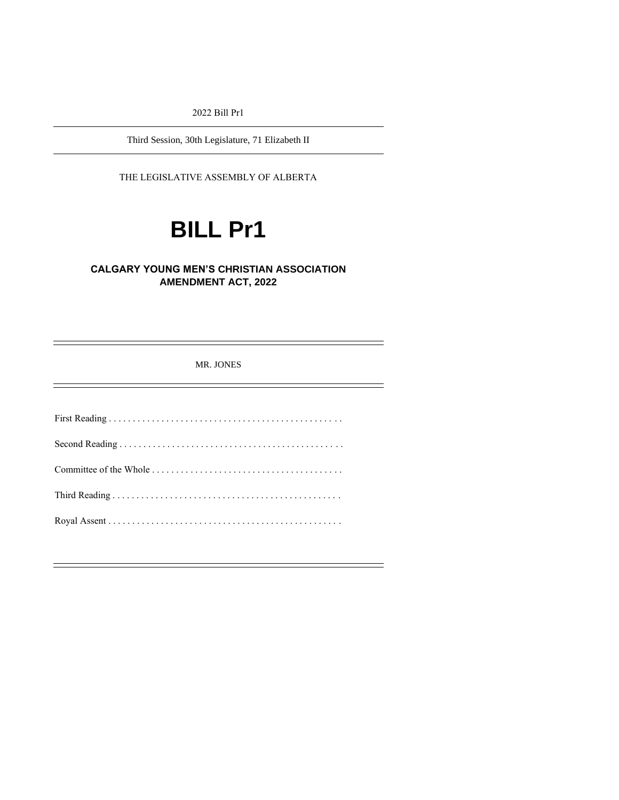2022 Bill Pr1

Third Session, 30th Legislature, 71 Elizabeth II

THE LEGISLATIVE ASSEMBLY OF ALBERTA

# **BILL Pr1**

# **CALGARY YOUNG MEN'S CHRISTIAN ASSOCIATION AMENDMENT ACT, 2022**

| <b>MR. JONES</b> |
|------------------|
|                  |
|                  |
|                  |
|                  |
|                  |
|                  |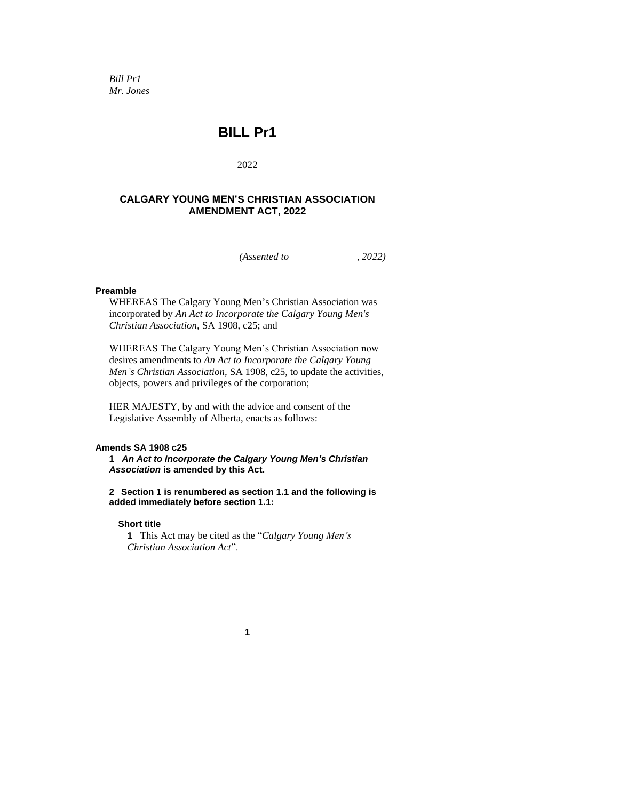*Bill Pr1 Mr. Jones*

# **BILL Pr1**

2022

# **CALGARY YOUNG MEN'S CHRISTIAN ASSOCIATION AMENDMENT ACT, 2022**

*(Assented to , 2022)*

#### **Preamble**

WHEREAS The Calgary Young Men's Christian Association was incorporated by *An Act to Incorporate the Calgary Young Men's Christian Association,* SA 1908, c25; and

WHEREAS The Calgary Young Men's Christian Association now desires amendments to *An Act to Incorporate the Calgary Young Men's Christian Association,* SA 1908, c25, to update the activities, objects, powers and privileges of the corporation;

HER MAJESTY, by and with the advice and consent of the Legislative Assembly of Alberta, enacts as follows:

#### **Amends SA 1908 c25**

**1** *An Act to Incorporate the Calgary Young Men's Christian Association* **is amended by this Act.**

**2 Section 1 is renumbered as section 1.1 and the following is added immediately before section 1.1:**

#### **Short title**

**1** This Act may be cited as the "*Calgary Young Men's Christian Association Act*".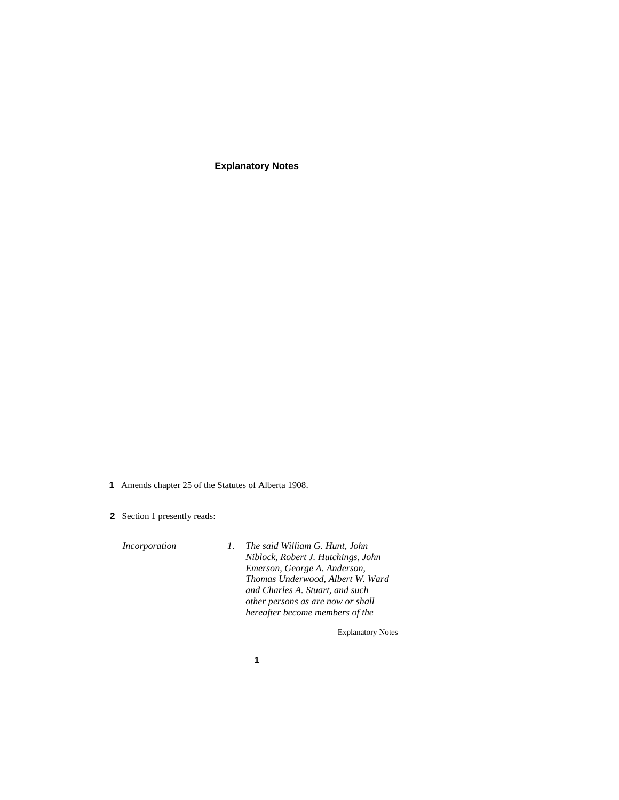**Explanatory Notes**

- **1** Amends chapter 25 of the Statutes of Alberta 1908.
- **2** Section 1 presently reads:

*Incorporation 1. The said William G. Hunt, John Niblock, Robert J. Hutchings, John Emerson, George A. Anderson, Thomas Underwood, Albert W. Ward and Charles A. Stuart, and such other persons as are now or shall hereafter become members of the*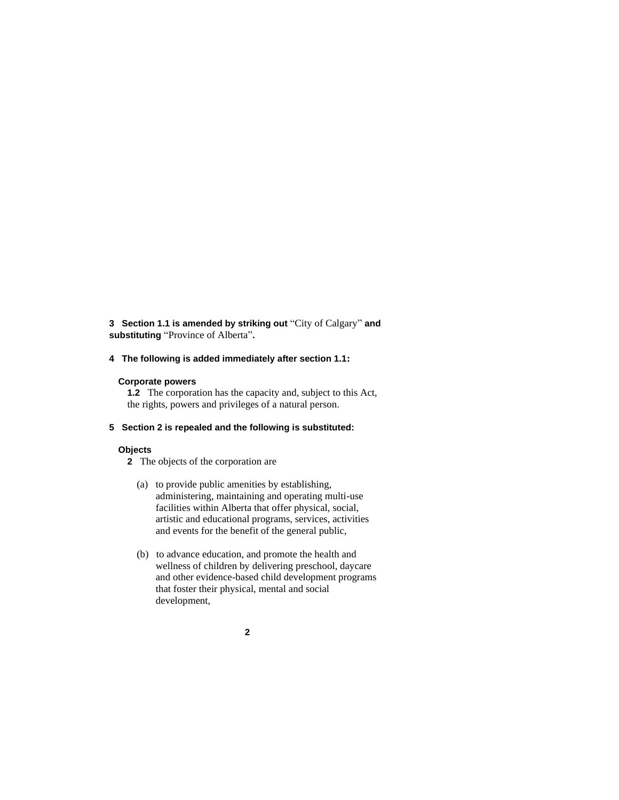**3 Section 1.1 is amended by striking out** "City of Calgary" **and substituting** "Province of Alberta"**.**

**4 The following is added immediately after section 1.1:**

#### **Corporate powers**

**1.2** The corporation has the capacity and, subject to this Act, the rights, powers and privileges of a natural person.

**5 Section 2 is repealed and the following is substituted:**

#### **Objects**

**2** The objects of the corporation are

- (a) to provide public amenities by establishing, administering, maintaining and operating multi-use facilities within Alberta that offer physical, social, artistic and educational programs, services, activities and events for the benefit of the general public,
- (b) to advance education, and promote the health and wellness of children by delivering preschool, daycare and other evidence-based child development programs that foster their physical, mental and social development,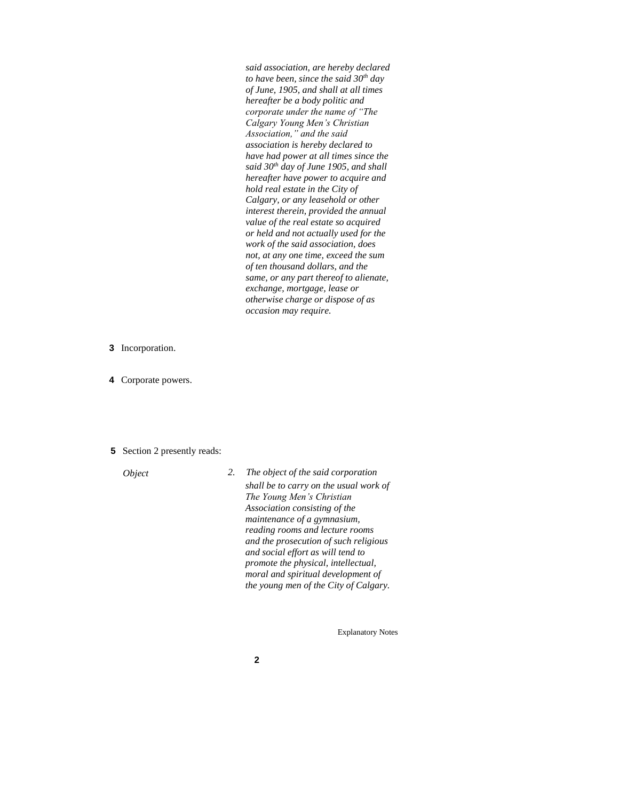*said association, are hereby declared to have been, since the said 30th day of June, 1905, and shall at all times hereafter be a body politic and corporate under the name of "The Calgary Young Men's Christian Association," and the said association is hereby declared to have had power at all times since the said 30th day of June 1905, and shall hereafter have power to acquire and hold real estate in the City of Calgary, or any leasehold or other interest therein, provided the annual value of the real estate so acquired or held and not actually used for the work of the said association, does not, at any one time, exceed the sum of ten thousand dollars, and the same, or any part thereof to alienate, exchange, mortgage, lease or otherwise charge or dispose of as occasion may require.* 

- **3** Incorporation.
- **4** Corporate powers.
- **5** Section 2 presently reads:

*Object 2. The object of the said corporation shall be to carry on the usual work of The Young Men's Christian Association consisting of the maintenance of a gymnasium, reading rooms and lecture rooms and the prosecution of such religious and social effort as will tend to promote the physical, intellectual, moral and spiritual development of the young men of the City of Calgary.*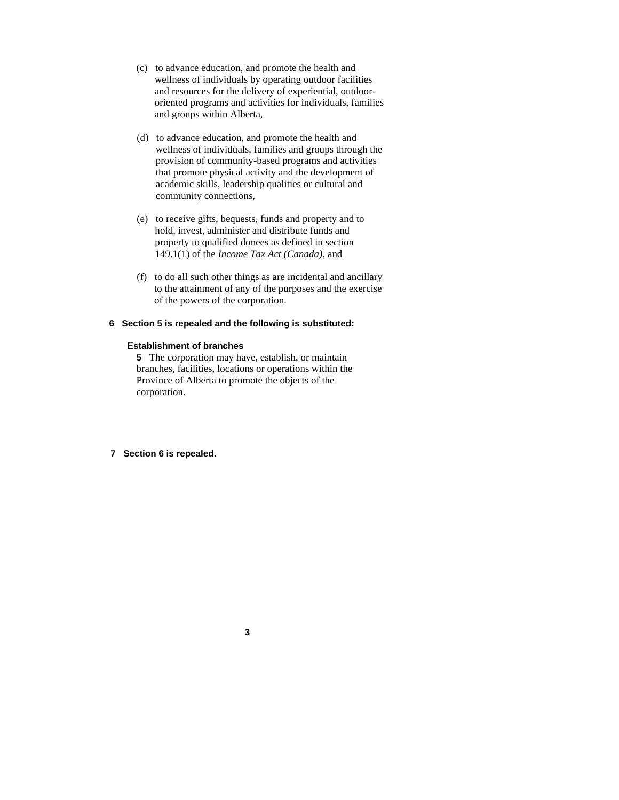- (c) to advance education, and promote the health and wellness of individuals by operating outdoor facilities and resources for the delivery of experiential, outdoororiented programs and activities for individuals, families and groups within Alberta,
- (d) to advance education, and promote the health and wellness of individuals, families and groups through the provision of community-based programs and activities that promote physical activity and the development of academic skills, leadership qualities or cultural and community connections,
- (e) to receive gifts, bequests, funds and property and to hold, invest, administer and distribute funds and property to qualified donees as defined in section 149.1(1) of the *Income Tax Act (Canada)*, and
- (f) to do all such other things as are incidental and ancillary to the attainment of any of the purposes and the exercise of the powers of the corporation.

#### **6 Section 5 is repealed and the following is substituted:**

#### **Establishment of branches**

**5** The corporation may have, establish, or maintain branches, facilities, locations or operations within the Province of Alberta to promote the objects of the corporation.

**7 Section 6 is repealed.**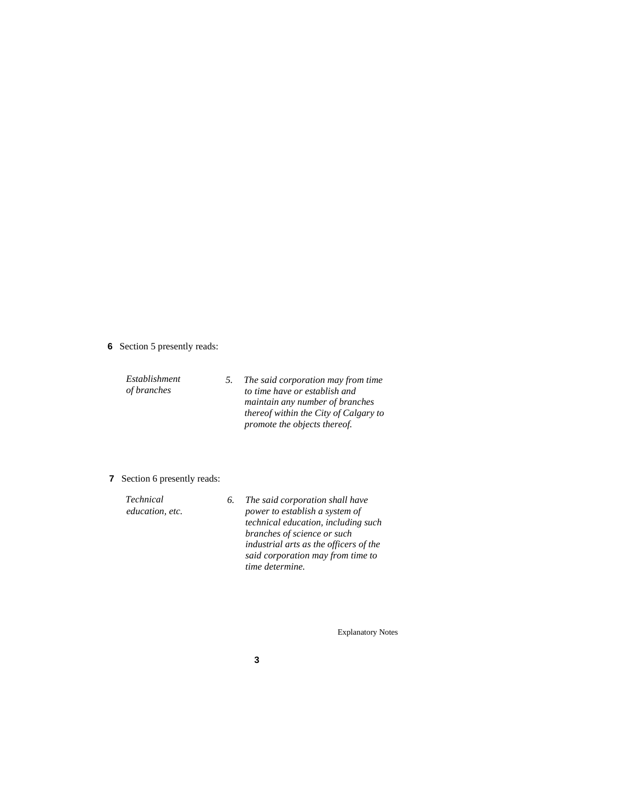- **6** Section 5 presently reads:
	- *Establishment of branches 5. The said corporation may from time to time have or establish and maintain any number of branches thereof within the City of Calgary to promote the objects thereof.*
- **7** Section 6 presently reads:

| <b>Technical</b> | 6. The said corporation shall have     |
|------------------|----------------------------------------|
| education, etc.  | power to establish a system of         |
|                  | technical education, including such    |
|                  | branches of science or such            |
|                  | industrial arts as the officers of the |
|                  | said corporation may from time to      |
|                  | time determine.                        |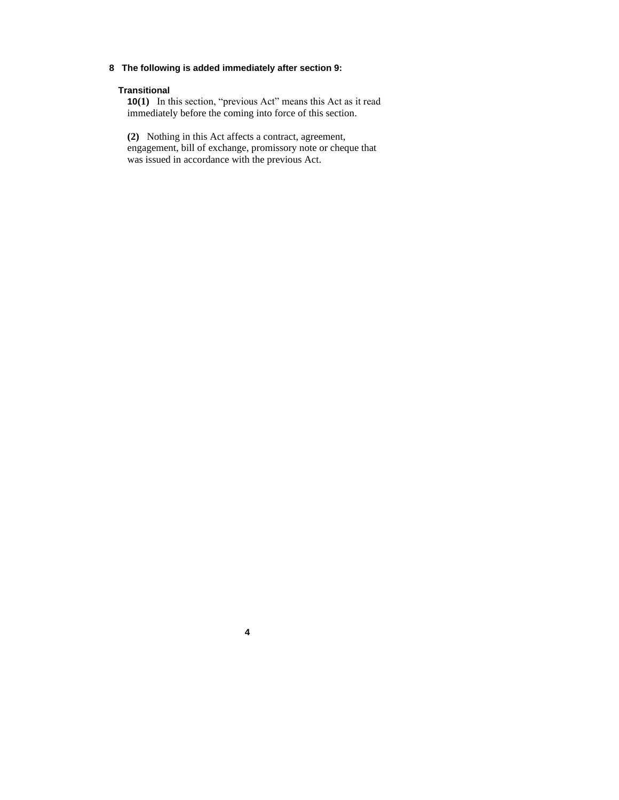## **8 The following is added immediately after section 9:**

### **Transitional**

**10(1)** In this section, "previous Act" means this Act as it read immediately before the coming into force of this section.

**(2)** Nothing in this Act affects a contract, agreement, engagement, bill of exchange, promissory note or cheque that was issued in accordance with the previous Act.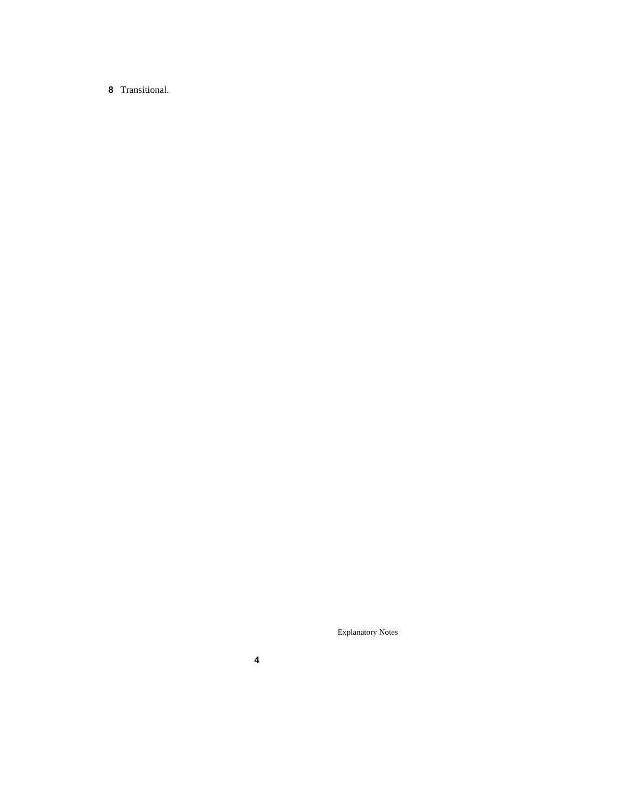# Transitional.